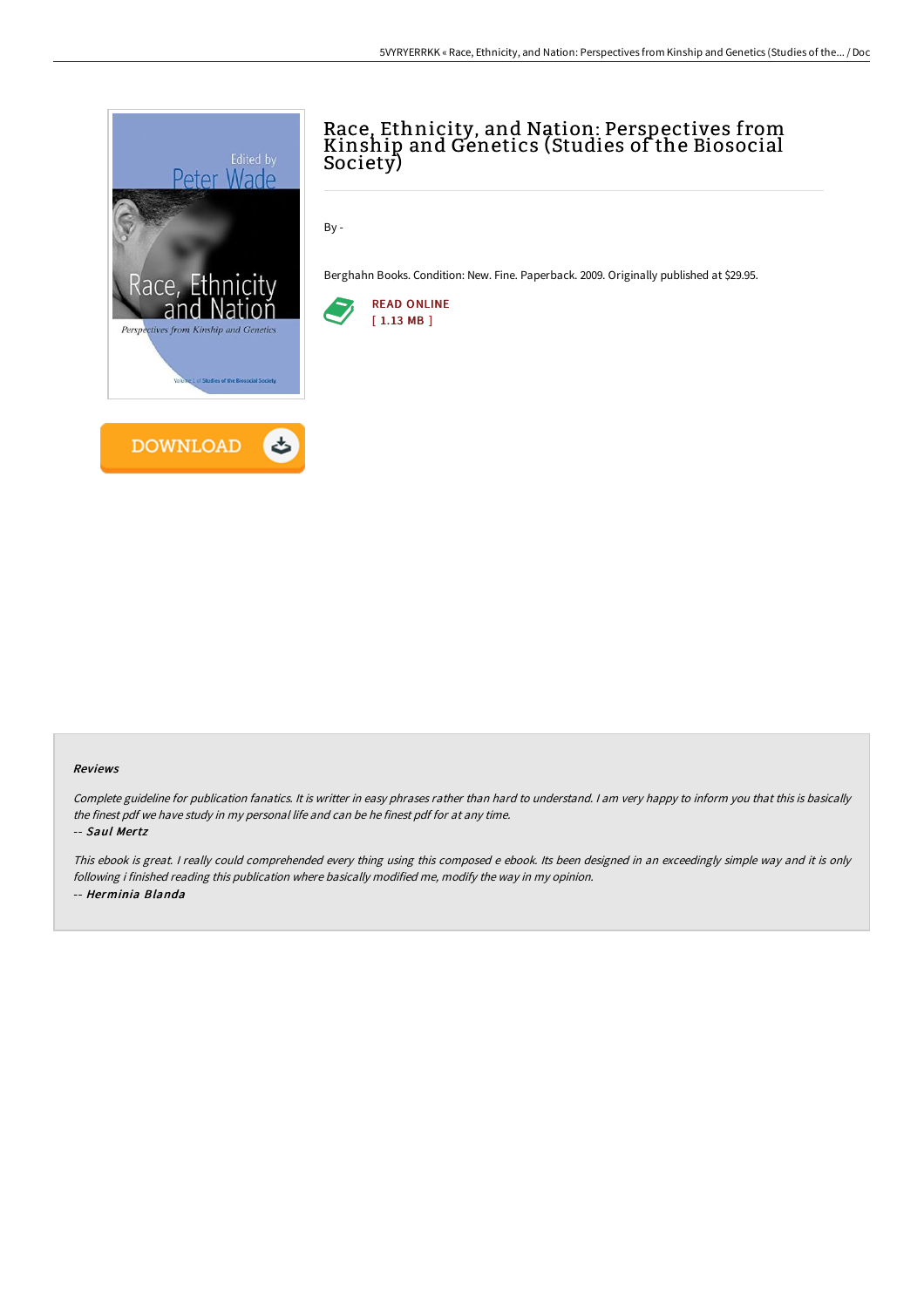

## Race, Ethnicity, and Nation: Perspectives from Kinship and Genetics (Studies of the Biosocial Society)

By -

Berghahn Books. Condition: New. Fine. Paperback. 2009. Originally published at \$29.95.



## Reviews

Complete guideline for publication fanatics. It is writter in easy phrases rather than hard to understand. <sup>I</sup> am very happy to inform you that this is basically the finest pdf we have study in my personal life and can be he finest pdf for at any time.

-- Saul Mertz

This ebook is great. I really could comprehended every thing using this composed <sup>e</sup> ebook. Its been designed in an exceedingly simple way and it is only following i finished reading this publication where basically modified me, modify the way in my opinion. -- Herminia Blanda